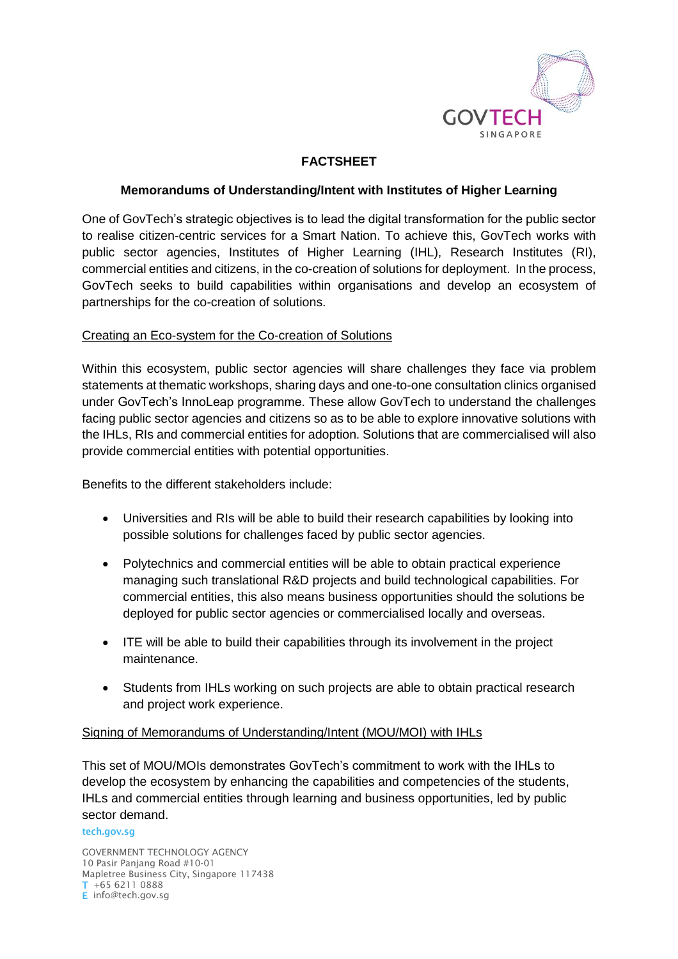

# **FACTSHEET**

### **Memorandums of Understanding/Intent with Institutes of Higher Learning**

One of GovTech's strategic objectives is to lead the digital transformation for the public sector to realise citizen-centric services for a Smart Nation. To achieve this, GovTech works with public sector agencies, Institutes of Higher Learning (IHL), Research Institutes (RI), commercial entities and citizens, in the co-creation of solutions for deployment. In the process, GovTech seeks to build capabilities within organisations and develop an ecosystem of partnerships for the co-creation of solutions.

#### Creating an Eco-system for the Co-creation of Solutions

Within this ecosystem, public sector agencies will share challenges they face via problem statements at thematic workshops, sharing days and one-to-one consultation clinics organised under GovTech's InnoLeap programme. These allow GovTech to understand the challenges facing public sector agencies and citizens so as to be able to explore innovative solutions with the IHLs, RIs and commercial entities for adoption. Solutions that are commercialised will also provide commercial entities with potential opportunities.

Benefits to the different stakeholders include:

- Universities and RIs will be able to build their research capabilities by looking into possible solutions for challenges faced by public sector agencies.
- Polytechnics and commercial entities will be able to obtain practical experience managing such translational R&D projects and build technological capabilities. For commercial entities, this also means business opportunities should the solutions be deployed for public sector agencies or commercialised locally and overseas.
- ITE will be able to build their capabilities through its involvement in the project maintenance.
- Students from IHLs working on such projects are able to obtain practical research and project work experience.

#### Signing of Memorandums of Understanding/Intent (MOU/MOI) with IHLs

This set of MOU/MOIs demonstrates GovTech's commitment to work with the IHLs to develop the ecosystem by enhancing the capabilities and competencies of the students, IHLs and commercial entities through learning and business opportunities, led by public sector demand.

#### tech.gov.sg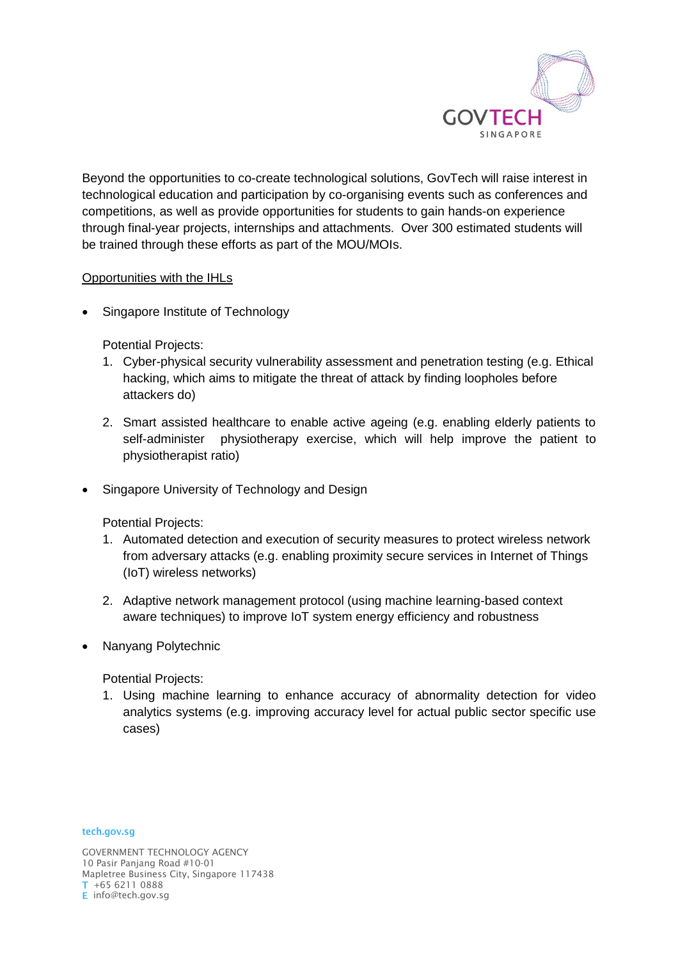

Beyond the opportunities to co-create technological solutions, GovTech will raise interest in technological education and participation by co-organising events such as conferences and competitions, as well as provide opportunities for students to gain hands-on experience through final-year projects, internships and attachments. Over 300 estimated students will be trained through these efforts as part of the MOU/MOIs.

## Opportunities with the IHLs

• Singapore Institute of Technology

Potential Projects:

- 1. Cyber-physical security vulnerability assessment and penetration testing (e.g. Ethical hacking, which aims to mitigate the threat of attack by finding loopholes before attackers do)
- 2. Smart assisted healthcare to enable active ageing (e.g. enabling elderly patients to self-administer physiotherapy exercise, which will help improve the patient to physiotherapist ratio)
- Singapore University of Technology and Design

Potential Projects:

- 1. Automated detection and execution of security measures to protect wireless network from adversary attacks (e.g. enabling proximity secure services in Internet of Things (IoT) wireless networks)
- 2. Adaptive network management protocol (using machine learning-based context aware techniques) to improve IoT system energy efficiency and robustness
- Nanyang Polytechnic

Potential Projects:

1. Using machine learning to enhance accuracy of abnormality detection for video analytics systems (e.g. improving accuracy level for actual public sector specific use cases)

tech.gov.sg

GOVERNMENT TECHNOLOGY AGENCY 10 Pasir Panjang Road #10-01 Mapletree Business City, Singapore 117438 +65 6211 0888 E info@tech.gov.sg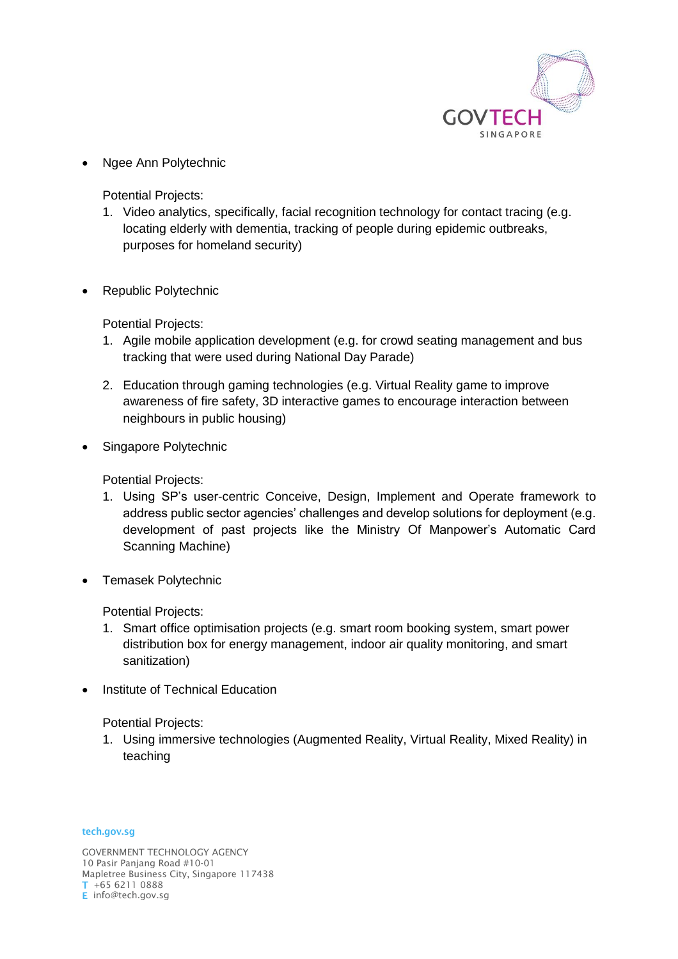

• Ngee Ann Polytechnic

Potential Projects:

- 1. Video analytics, specifically, facial recognition technology for contact tracing (e.g. locating elderly with dementia, tracking of people during epidemic outbreaks, purposes for homeland security)
- Republic Polytechnic

Potential Projects:

- 1. Agile mobile application development (e.g. for crowd seating management and bus tracking that were used during National Day Parade)
- 2. Education through gaming technologies (e.g. Virtual Reality game to improve awareness of fire safety, 3D interactive games to encourage interaction between neighbours in public housing)
- Singapore Polytechnic

Potential Projects:

- 1. Using SP's user-centric Conceive, Design, Implement and Operate framework to address public sector agencies' challenges and develop solutions for deployment (e.g. development of past projects like the Ministry Of Manpower's Automatic Card Scanning Machine)
- Temasek Polytechnic

Potential Projects:

- 1. Smart office optimisation projects (e.g. smart room booking system, smart power distribution box for energy management, indoor air quality monitoring, and smart sanitization)
- Institute of Technical Education

Potential Projects:

1. Using immersive technologies (Augmented Reality, Virtual Reality, Mixed Reality) in teaching

tech.gov.sg

GOVERNMENT TECHNOLOGY AGENCY 10 Pasir Panjang Road #10-01 Mapletree Business City, Singapore 117438 +65 6211 0888 E info@tech.gov.sg